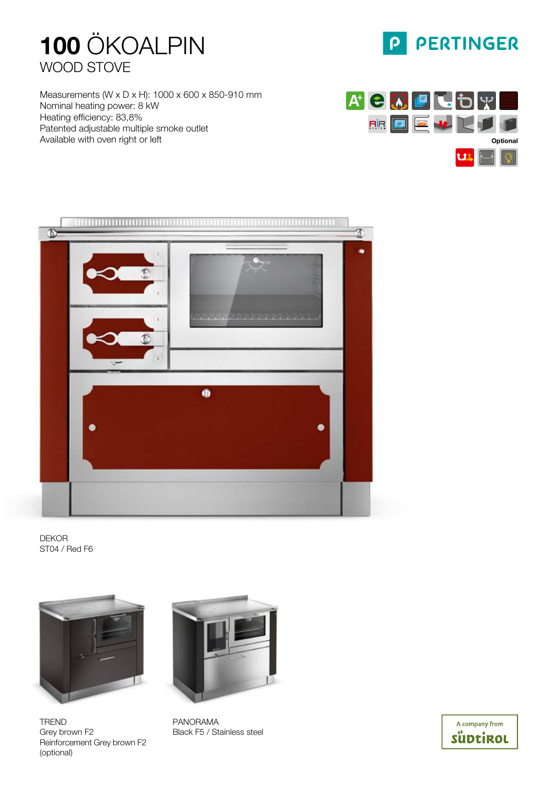

Measurements (W x D x H): 1000 x 600 x 850-910 mm Nominal heating power: 8 kW Heating efficiency: 83,8% Patented adjustable multiple smoke outlet Available with oven right or left



 $\mathsf{P}$ 

PERTINGER



DEKOR ST04 / Red F6



TREND Grey brown F2 Reinforcement Grey brown F2 (optional)



PANORAMA Black F5 / Stainless steel